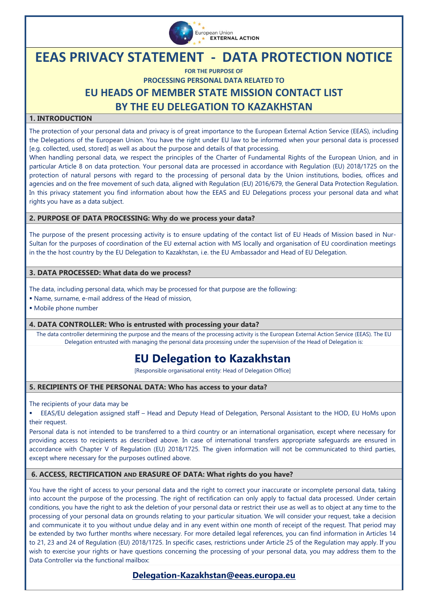

# **EEAS PRIVACY STATEMENT - DATA PROTECTION NOTICE**

**FOR THE PURPOSE OF PROCESSING PERSONAL DATA RELATED TO EU HEADS OF MEMBER STATE MISSION CONTACT LIST BY THE EU DELEGATION TO KAZAKHSTAN** 

# **1. INTRODUCTION**

The protection of your personal data and privacy is of great importance to the European External Action Service (EEAS), including the Delegations of the European Union. You have the right under EU law to be informed when your personal data is processed [e.g. collected, used, stored] as well as about the purpose and details of that processing.

When handling personal data, we respect the principles of the Charter of Fundamental Rights of the European Union, and in particular Article 8 on data protection. Your personal data are processed in accordance with [Regulation \(EU\) 2018/1725 on the](https://eur-lex.europa.eu/legal-content/EN/TXT/?uri=CELEX%3A32018R1725)  [protection of natural persons with regard to the processing of personal data by the Union institutions, bodies, offices and](https://eur-lex.europa.eu/legal-content/EN/TXT/?uri=CELEX%3A32018R1725)  [agencies and on the free movement of such data,](https://eur-lex.europa.eu/legal-content/EN/TXT/?uri=CELEX%3A32018R1725) aligned with Regulation (EU) 2016/679, the General Data Protection Regulation. In this privacy statement you find information about how the EEAS and EU Delegations process your personal data and what rights you have as a data subject.

#### **2. PURPOSE OF DATA PROCESSING: Why do we process your data?**

The purpose of the present processing activity is to ensure updating of the contact list of EU Heads of Mission based in Nur-Sultan for the purposes of coordination of the EU external action with MS locally and organisation of EU coordination meetings in the the host country by the EU Delegation to Kazakhstan, i.e. the EU Ambassador and Head of EU Delegation.

### **3. DATA PROCESSED: What data do we process?**

The data, including personal data, which may be processed for that purpose are the following:

- Name, surname, e-mail address of the Head of mission,
- Mobile phone number

#### **4. DATA CONTROLLER: Who is entrusted with processing your data?**

The data controller determining the purpose and the means of the processing activity is the European External Action Service (EEAS). The EU Delegation entrusted with managing the personal data processing under the supervision of the Head of Delegation is:

# **EU Delegation to Kazakhstan**

[Responsible organisational entity: Head of Delegation Office]

# **5. RECIPIENTS OF THE PERSONAL DATA: Who has access to your data?**

The recipients of your data may be

 EEAS/EU delegation assigned staff – Head and Deputy Head of Delegation, Personal Assistant to the HOD, EU HoMs upon their request.

Personal data is not intended to be transferred to a third country or an international organisation, except where necessary for providing access to recipients as described above. In case of international transfers appropriate safeguards are ensured in accordance with Chapter V of Regulation (EU) 2018/1725. The given information will not be communicated to third parties, except where necessary for the purposes outlined above.

# **6. ACCESS, RECTIFICATION AND ERASURE OF DATA: What rights do you have?**

You have the right of access to your personal data and the right to correct your inaccurate or incomplete personal data, taking into account the purpose of the processing. The right of rectification can only apply to factual data processed. Under certain conditions, you have the right to ask the deletion of your personal data or restrict their use as well as to object at any time to the processing of your personal data on grounds relating to your particular situation. We will consider your request, take a decision and communicate it to you without undue delay and in any event within one month of receipt of the request. That period may be extended by two further months where necessary. For more detailed legal references, you can find information in Articles 14 to 21, 23 and 24 of Regulation (EU) 2018/1725. In specific cases, restrictions under Article 25 of the Regulation may apply. If you wish to exercise your rights or have questions concerning the processing of your personal data, you may address them to the Data Controller via the functional mailbox:

**Delegation-Kazakhstan@eeas.europa.eu**